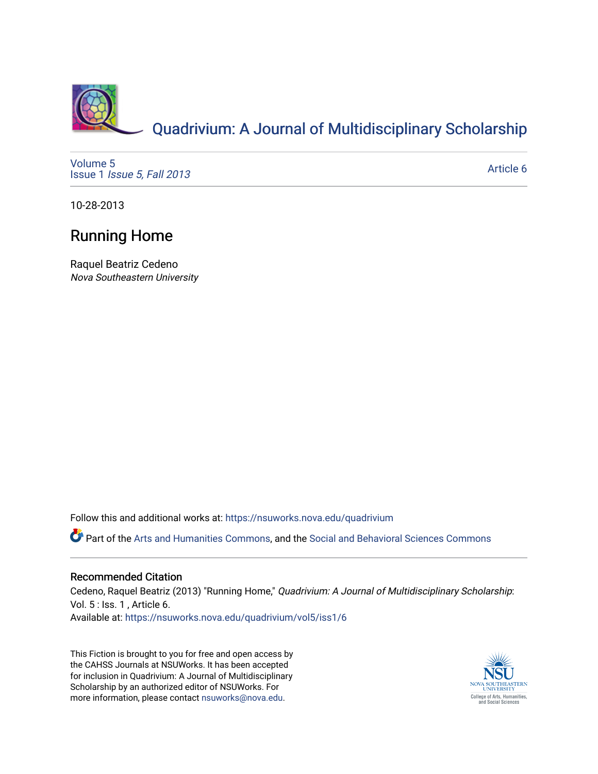

[Volume 5](https://nsuworks.nova.edu/quadrivium/vol5) Issue 1 [Issue 5, Fall 2013](https://nsuworks.nova.edu/quadrivium/vol5/iss1) 

[Article 6](https://nsuworks.nova.edu/quadrivium/vol5/iss1/6) 

10-28-2013

# Running Home

Raquel Beatriz Cedeno Nova Southeastern University

Follow this and additional works at: [https://nsuworks.nova.edu/quadrivium](https://nsuworks.nova.edu/quadrivium?utm_source=nsuworks.nova.edu%2Fquadrivium%2Fvol5%2Fiss1%2F6&utm_medium=PDF&utm_campaign=PDFCoverPages)

Part of the [Arts and Humanities Commons,](http://network.bepress.com/hgg/discipline/438?utm_source=nsuworks.nova.edu%2Fquadrivium%2Fvol5%2Fiss1%2F6&utm_medium=PDF&utm_campaign=PDFCoverPages) and the [Social and Behavioral Sciences Commons](http://network.bepress.com/hgg/discipline/316?utm_source=nsuworks.nova.edu%2Fquadrivium%2Fvol5%2Fiss1%2F6&utm_medium=PDF&utm_campaign=PDFCoverPages)

# Recommended Citation

Cedeno, Raquel Beatriz (2013) "Running Home," Quadrivium: A Journal of Multidisciplinary Scholarship: Vol. 5 : Iss. 1 , Article 6.

Available at: [https://nsuworks.nova.edu/quadrivium/vol5/iss1/6](https://nsuworks.nova.edu/quadrivium/vol5/iss1/6?utm_source=nsuworks.nova.edu%2Fquadrivium%2Fvol5%2Fiss1%2F6&utm_medium=PDF&utm_campaign=PDFCoverPages)

This Fiction is brought to you for free and open access by the CAHSS Journals at NSUWorks. It has been accepted for inclusion in Quadrivium: A Journal of Multidisciplinary Scholarship by an authorized editor of NSUWorks. For more information, please contact [nsuworks@nova.edu.](mailto:nsuworks@nova.edu)

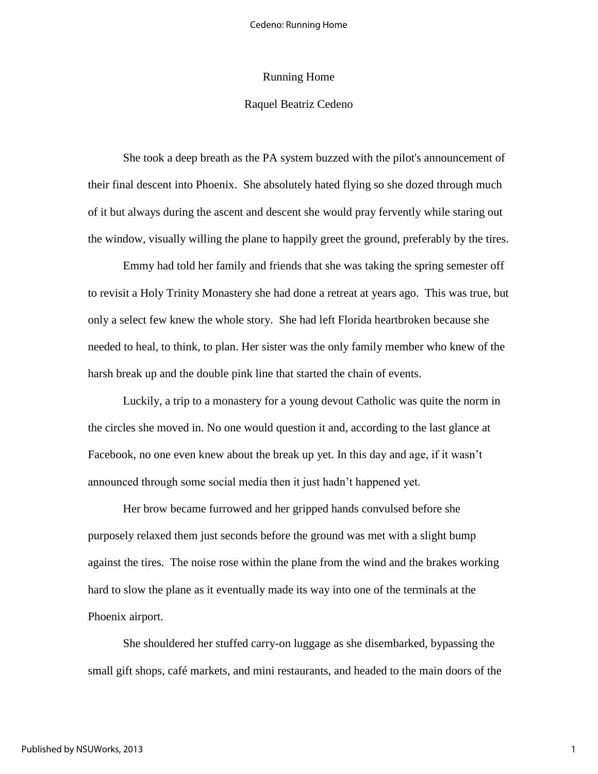## Running Home

# Raquel Beatriz Cedeno

She took a deep breath as the PA system buzzed with the pilot's announcement of their final descent into Phoenix. She absolutely hated flying so she dozed through much of it but always during the ascent and descent she would pray fervently while staring out the window, visually willing the plane to happily greet the ground, preferably by the tires.

Emmy had told her family and friends that she was taking the spring semester off to revisit a Holy Trinity Monastery she had done a retreat at years ago. This was true, but only a select few knew the whole story. She had left Florida heartbroken because she needed to heal, to think, to plan. Her sister was the only family member who knew of the harsh break up and the double pink line that started the chain of events.

Luckily, a trip to a monastery for a young devout Catholic was quite the norm in the circles she moved in. No one would question it and, according to the last glance at Facebook, no one even knew about the break up yet. In this day and age, if it wasn't announced through some social media then it just hadn't happened yet.

Her brow became furrowed and her gripped hands convulsed before she purposely relaxed them just seconds before the ground was met with a slight bump against the tires. The noise rose within the plane from the wind and the brakes working hard to slow the plane as it eventually made its way into one of the terminals at the Phoenix airport.

She shouldered her stuffed carry-on luggage as she disembarked, bypassing the small gift shops, café markets, and mini restaurants, and headed to the main doors of the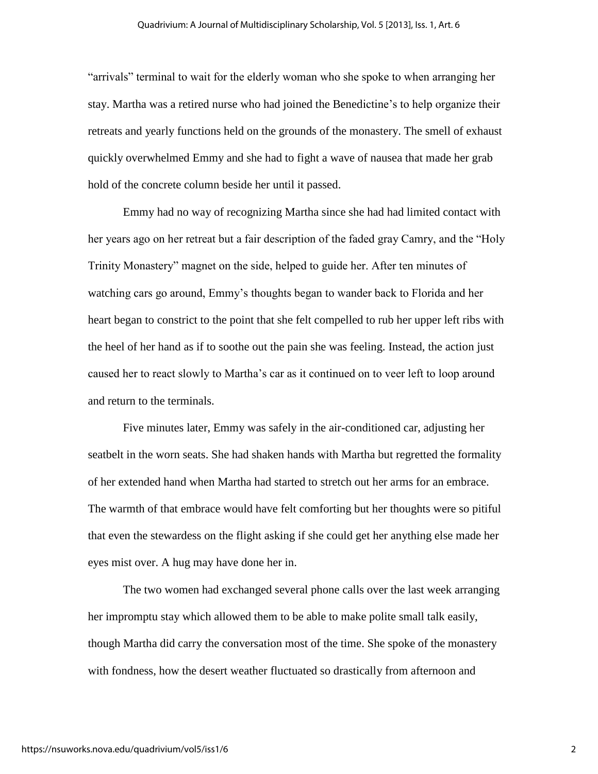"arrivals" terminal to wait for the elderly woman who she spoke to when arranging her stay. Martha was a retired nurse who had joined the Benedictine's to help organize their retreats and yearly functions held on the grounds of the monastery. The smell of exhaust quickly overwhelmed Emmy and she had to fight a wave of nausea that made her grab hold of the concrete column beside her until it passed.

Emmy had no way of recognizing Martha since she had had limited contact with her years ago on her retreat but a fair description of the faded gray Camry, and the "Holy Trinity Monastery" magnet on the side, helped to guide her. After ten minutes of watching cars go around, Emmy's thoughts began to wander back to Florida and her heart began to constrict to the point that she felt compelled to rub her upper left ribs with the heel of her hand as if to soothe out the pain she was feeling. Instead, the action just caused her to react slowly to Martha's car as it continued on to veer left to loop around and return to the terminals.

Five minutes later, Emmy was safely in the air-conditioned car, adjusting her seatbelt in the worn seats. She had shaken hands with Martha but regretted the formality of her extended hand when Martha had started to stretch out her arms for an embrace. The warmth of that embrace would have felt comforting but her thoughts were so pitiful that even the stewardess on the flight asking if she could get her anything else made her eyes mist over. A hug may have done her in.

The two women had exchanged several phone calls over the last week arranging her impromptu stay which allowed them to be able to make polite small talk easily, though Martha did carry the conversation most of the time. She spoke of the monastery with fondness, how the desert weather fluctuated so drastically from afternoon and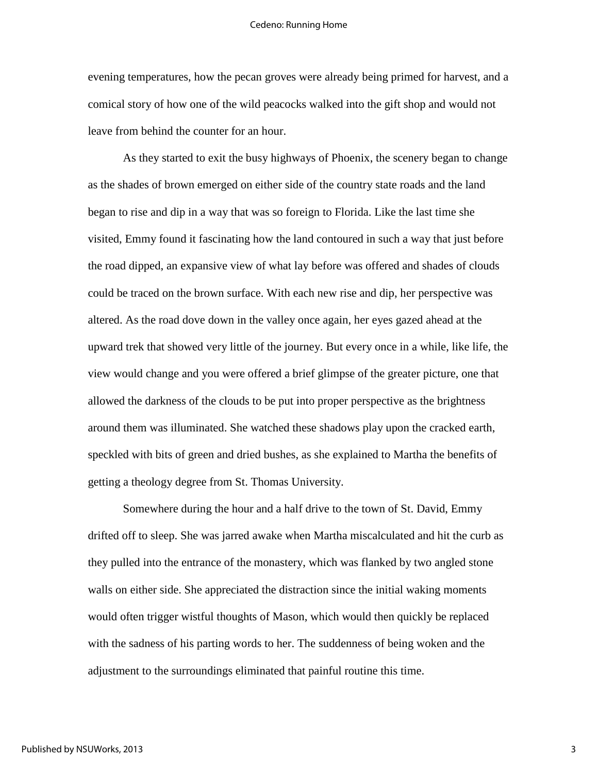evening temperatures, how the pecan groves were already being primed for harvest, and a comical story of how one of the wild peacocks walked into the gift shop and would not leave from behind the counter for an hour.

As they started to exit the busy highways of Phoenix, the scenery began to change as the shades of brown emerged on either side of the country state roads and the land began to rise and dip in a way that was so foreign to Florida. Like the last time she visited, Emmy found it fascinating how the land contoured in such a way that just before the road dipped, an expansive view of what lay before was offered and shades of clouds could be traced on the brown surface. With each new rise and dip, her perspective was altered. As the road dove down in the valley once again, her eyes gazed ahead at the upward trek that showed very little of the journey. But every once in a while, like life, the view would change and you were offered a brief glimpse of the greater picture, one that allowed the darkness of the clouds to be put into proper perspective as the brightness around them was illuminated. She watched these shadows play upon the cracked earth, speckled with bits of green and dried bushes, as she explained to Martha the benefits of getting a theology degree from St. Thomas University.

Somewhere during the hour and a half drive to the town of St. David, Emmy drifted off to sleep. She was jarred awake when Martha miscalculated and hit the curb as they pulled into the entrance of the monastery, which was flanked by two angled stone walls on either side. She appreciated the distraction since the initial waking moments would often trigger wistful thoughts of Mason, which would then quickly be replaced with the sadness of his parting words to her. The suddenness of being woken and the adjustment to the surroundings eliminated that painful routine this time.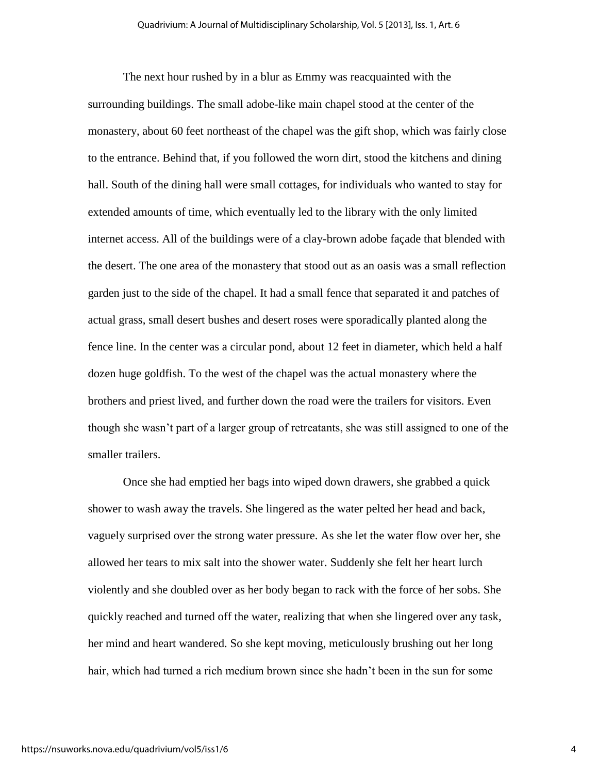The next hour rushed by in a blur as Emmy was reacquainted with the surrounding buildings. The small adobe-like main chapel stood at the center of the monastery, about 60 feet northeast of the chapel was the gift shop, which was fairly close to the entrance. Behind that, if you followed the worn dirt, stood the kitchens and dining hall. South of the dining hall were small cottages, for individuals who wanted to stay for extended amounts of time, which eventually led to the library with the only limited internet access. All of the buildings were of a clay-brown adobe façade that blended with the desert. The one area of the monastery that stood out as an oasis was a small reflection garden just to the side of the chapel. It had a small fence that separated it and patches of actual grass, small desert bushes and desert roses were sporadically planted along the fence line. In the center was a circular pond, about 12 feet in diameter, which held a half dozen huge goldfish. To the west of the chapel was the actual monastery where the brothers and priest lived, and further down the road were the trailers for visitors. Even though she wasn't part of a larger group of retreatants, she was still assigned to one of the smaller trailers.

Once she had emptied her bags into wiped down drawers, she grabbed a quick shower to wash away the travels. She lingered as the water pelted her head and back, vaguely surprised over the strong water pressure. As she let the water flow over her, she allowed her tears to mix salt into the shower water. Suddenly she felt her heart lurch violently and she doubled over as her body began to rack with the force of her sobs. She quickly reached and turned off the water, realizing that when she lingered over any task, her mind and heart wandered. So she kept moving, meticulously brushing out her long hair, which had turned a rich medium brown since she hadn't been in the sun for some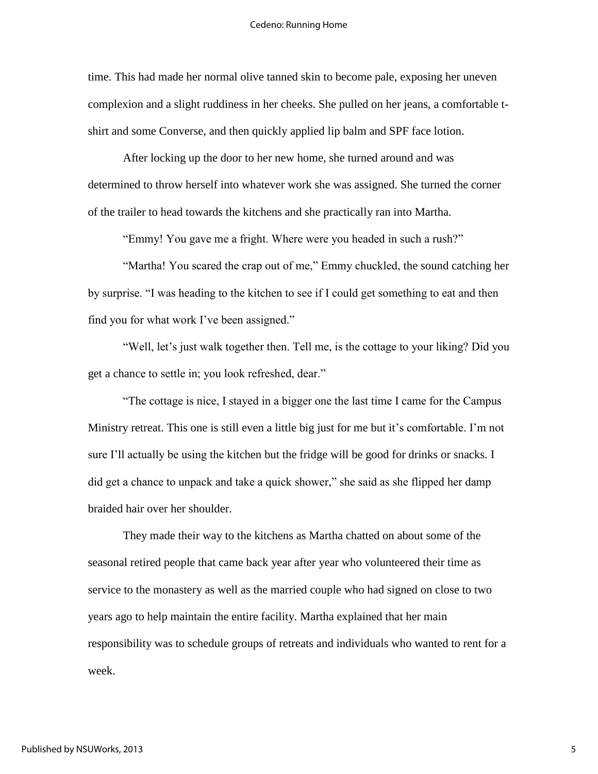time. This had made her normal olive tanned skin to become pale, exposing her uneven complexion and a slight ruddiness in her cheeks. She pulled on her jeans, a comfortable tshirt and some Converse, and then quickly applied lip balm and SPF face lotion.

After locking up the door to her new home, she turned around and was determined to throw herself into whatever work she was assigned. She turned the corner of the trailer to head towards the kitchens and she practically ran into Martha.

"Emmy! You gave me a fright. Where were you headed in such a rush?"

"Martha! You scared the crap out of me," Emmy chuckled, the sound catching her by surprise. "I was heading to the kitchen to see if I could get something to eat and then find you for what work I've been assigned."

"Well, let's just walk together then. Tell me, is the cottage to your liking? Did you get a chance to settle in; you look refreshed, dear."

"The cottage is nice, I stayed in a bigger one the last time I came for the Campus Ministry retreat. This one is still even a little big just for me but it's comfortable. I'm not sure I'll actually be using the kitchen but the fridge will be good for drinks or snacks. I did get a chance to unpack and take a quick shower," she said as she flipped her damp braided hair over her shoulder.

They made their way to the kitchens as Martha chatted on about some of the seasonal retired people that came back year after year who volunteered their time as service to the monastery as well as the married couple who had signed on close to two years ago to help maintain the entire facility. Martha explained that her main responsibility was to schedule groups of retreats and individuals who wanted to rent for a week.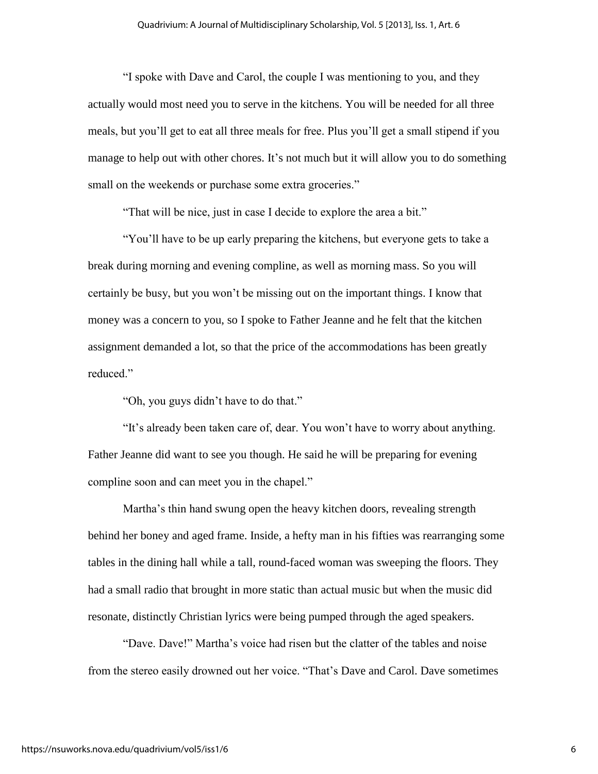"I spoke with Dave and Carol, the couple I was mentioning to you, and they actually would most need you to serve in the kitchens. You will be needed for all three meals, but you'll get to eat all three meals for free. Plus you'll get a small stipend if you manage to help out with other chores. It's not much but it will allow you to do something small on the weekends or purchase some extra groceries."

"That will be nice, just in case I decide to explore the area a bit."

"You'll have to be up early preparing the kitchens, but everyone gets to take a break during morning and evening compline, as well as morning mass. So you will certainly be busy, but you won't be missing out on the important things. I know that money was a concern to you, so I spoke to Father Jeanne and he felt that the kitchen assignment demanded a lot, so that the price of the accommodations has been greatly reduced."

"Oh, you guys didn't have to do that."

"It's already been taken care of, dear. You won't have to worry about anything. Father Jeanne did want to see you though. He said he will be preparing for evening compline soon and can meet you in the chapel."

Martha's thin hand swung open the heavy kitchen doors, revealing strength behind her boney and aged frame. Inside, a hefty man in his fifties was rearranging some tables in the dining hall while a tall, round-faced woman was sweeping the floors. They had a small radio that brought in more static than actual music but when the music did resonate, distinctly Christian lyrics were being pumped through the aged speakers.

"Dave. Dave!" Martha's voice had risen but the clatter of the tables and noise from the stereo easily drowned out her voice. "That's Dave and Carol. Dave sometimes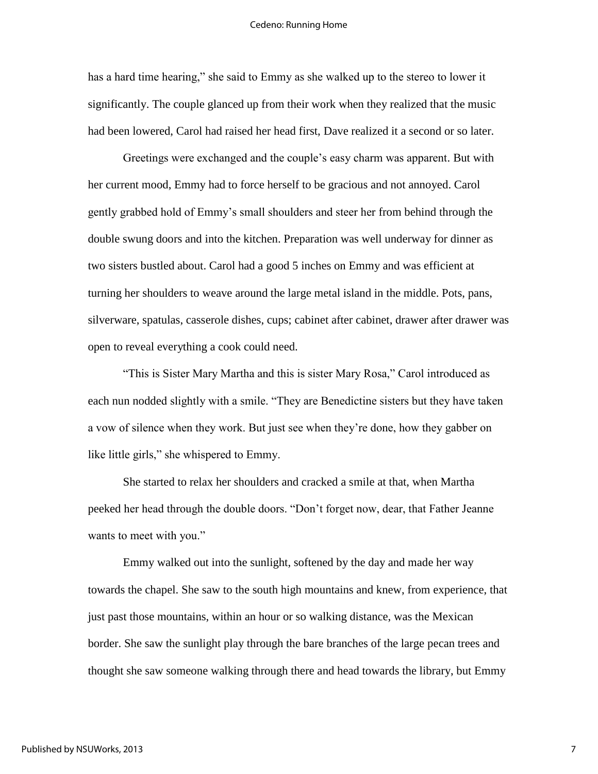has a hard time hearing," she said to Emmy as she walked up to the stereo to lower it significantly. The couple glanced up from their work when they realized that the music had been lowered, Carol had raised her head first, Dave realized it a second or so later.

Greetings were exchanged and the couple's easy charm was apparent. But with her current mood, Emmy had to force herself to be gracious and not annoyed. Carol gently grabbed hold of Emmy's small shoulders and steer her from behind through the double swung doors and into the kitchen. Preparation was well underway for dinner as two sisters bustled about. Carol had a good 5 inches on Emmy and was efficient at turning her shoulders to weave around the large metal island in the middle. Pots, pans, silverware, spatulas, casserole dishes, cups; cabinet after cabinet, drawer after drawer was open to reveal everything a cook could need.

"This is Sister Mary Martha and this is sister Mary Rosa," Carol introduced as each nun nodded slightly with a smile. "They are Benedictine sisters but they have taken a vow of silence when they work. But just see when they're done, how they gabber on like little girls," she whispered to Emmy.

She started to relax her shoulders and cracked a smile at that, when Martha peeked her head through the double doors. "Don't forget now, dear, that Father Jeanne wants to meet with you."

Emmy walked out into the sunlight, softened by the day and made her way towards the chapel. She saw to the south high mountains and knew, from experience, that just past those mountains, within an hour or so walking distance, was the Mexican border. She saw the sunlight play through the bare branches of the large pecan trees and thought she saw someone walking through there and head towards the library, but Emmy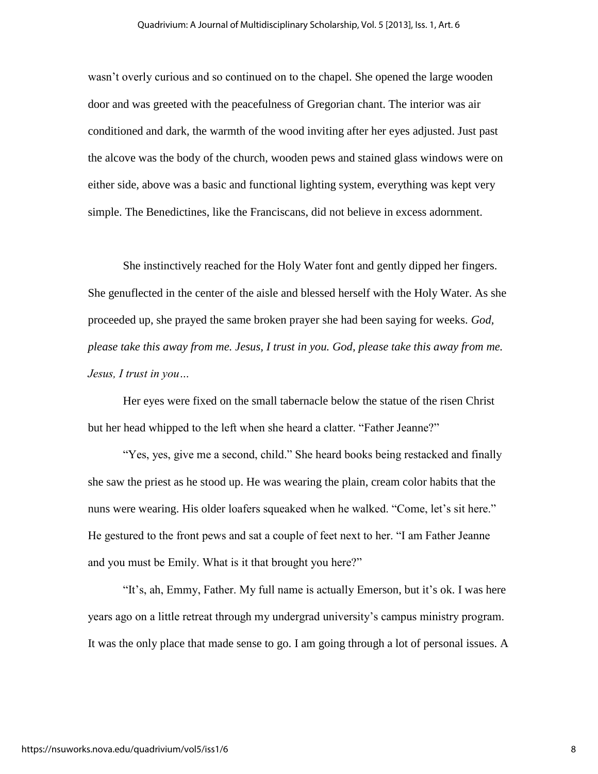wasn't overly curious and so continued on to the chapel. She opened the large wooden door and was greeted with the peacefulness of Gregorian chant. The interior was air conditioned and dark, the warmth of the wood inviting after her eyes adjusted. Just past the alcove was the body of the church, wooden pews and stained glass windows were on either side, above was a basic and functional lighting system, everything was kept very simple. The Benedictines, like the Franciscans, did not believe in excess adornment.

She instinctively reached for the Holy Water font and gently dipped her fingers. She genuflected in the center of the aisle and blessed herself with the Holy Water. As she proceeded up, she prayed the same broken prayer she had been saying for weeks. *God, please take this away from me. Jesus, I trust in you. God, please take this away from me. Jesus, I trust in you…*

Her eyes were fixed on the small tabernacle below the statue of the risen Christ but her head whipped to the left when she heard a clatter. "Father Jeanne?"

"Yes, yes, give me a second, child." She heard books being restacked and finally she saw the priest as he stood up. He was wearing the plain, cream color habits that the nuns were wearing. His older loafers squeaked when he walked. "Come, let's sit here." He gestured to the front pews and sat a couple of feet next to her. "I am Father Jeanne and you must be Emily. What is it that brought you here?"

"It's, ah, Emmy, Father. My full name is actually Emerson, but it's ok. I was here years ago on a little retreat through my undergrad university's campus ministry program. It was the only place that made sense to go. I am going through a lot of personal issues. A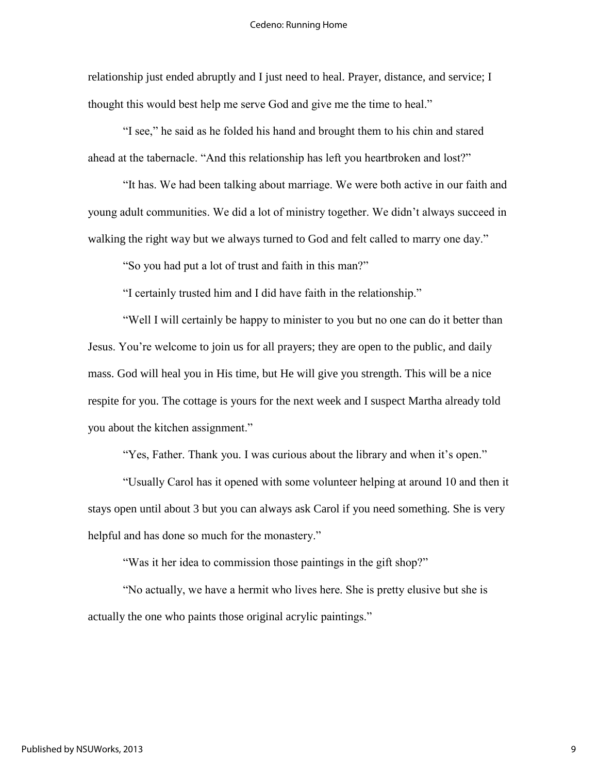relationship just ended abruptly and I just need to heal. Prayer, distance, and service; I thought this would best help me serve God and give me the time to heal."

"I see," he said as he folded his hand and brought them to his chin and stared ahead at the tabernacle. "And this relationship has left you heartbroken and lost?"

"It has. We had been talking about marriage. We were both active in our faith and young adult communities. We did a lot of ministry together. We didn't always succeed in walking the right way but we always turned to God and felt called to marry one day."

"So you had put a lot of trust and faith in this man?"

"I certainly trusted him and I did have faith in the relationship."

"Well I will certainly be happy to minister to you but no one can do it better than Jesus. You're welcome to join us for all prayers; they are open to the public, and daily mass. God will heal you in His time, but He will give you strength. This will be a nice respite for you. The cottage is yours for the next week and I suspect Martha already told you about the kitchen assignment."

"Yes, Father. Thank you. I was curious about the library and when it's open."

"Usually Carol has it opened with some volunteer helping at around 10 and then it stays open until about 3 but you can always ask Carol if you need something. She is very helpful and has done so much for the monastery."

"Was it her idea to commission those paintings in the gift shop?"

"No actually, we have a hermit who lives here. She is pretty elusive but she is actually the one who paints those original acrylic paintings."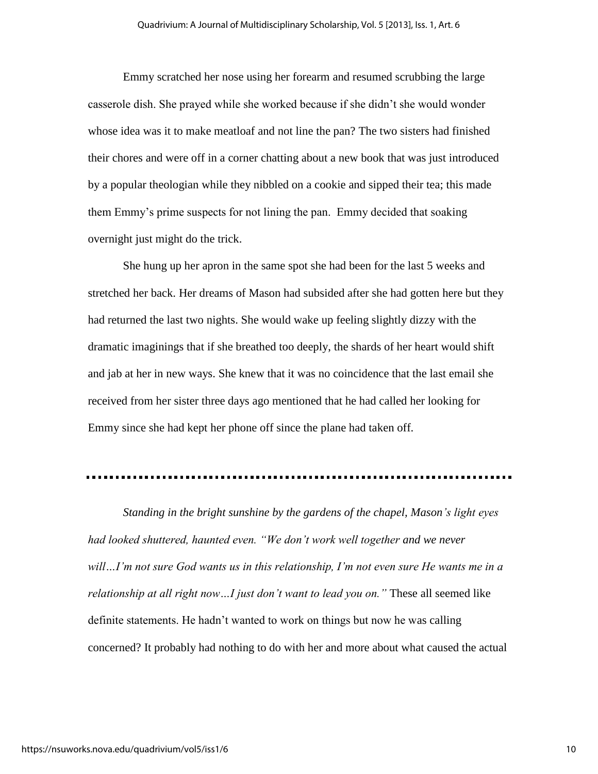Emmy scratched her nose using her forearm and resumed scrubbing the large casserole dish. She prayed while she worked because if she didn't she would wonder whose idea was it to make meatloaf and not line the pan? The two sisters had finished their chores and were off in a corner chatting about a new book that was just introduced by a popular theologian while they nibbled on a cookie and sipped their tea; this made them Emmy's prime suspects for not lining the pan. Emmy decided that soaking overnight just might do the trick.

She hung up her apron in the same spot she had been for the last 5 weeks and stretched her back. Her dreams of Mason had subsided after she had gotten here but they had returned the last two nights. She would wake up feeling slightly dizzy with the dramatic imaginings that if she breathed too deeply, the shards of her heart would shift and jab at her in new ways. She knew that it was no coincidence that the last email she received from her sister three days ago mentioned that he had called her looking for Emmy since she had kept her phone off since the plane had taken off.

*Standing in the bright sunshine by the gardens of the chapel, Mason's light eyes had looked shuttered, haunted even. "We don't work well together and we never will…I'm not sure God wants us in this relationship, I'm not even sure He wants me in a relationship at all right now…I just don't want to lead you on."* These all seemed like definite statements. He hadn't wanted to work on things but now he was calling concerned? It probably had nothing to do with her and more about what caused the actual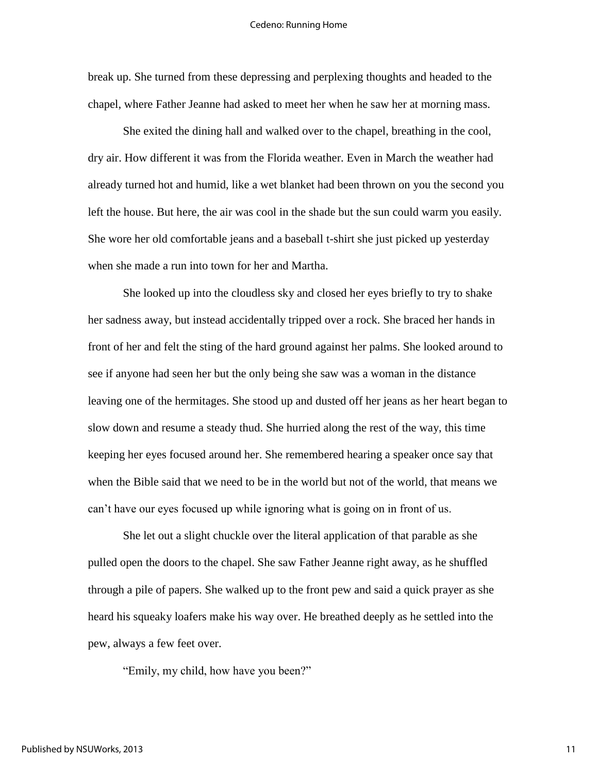break up. She turned from these depressing and perplexing thoughts and headed to the chapel, where Father Jeanne had asked to meet her when he saw her at morning mass.

She exited the dining hall and walked over to the chapel, breathing in the cool, dry air. How different it was from the Florida weather. Even in March the weather had already turned hot and humid, like a wet blanket had been thrown on you the second you left the house. But here, the air was cool in the shade but the sun could warm you easily. She wore her old comfortable jeans and a baseball t-shirt she just picked up yesterday when she made a run into town for her and Martha.

She looked up into the cloudless sky and closed her eyes briefly to try to shake her sadness away, but instead accidentally tripped over a rock. She braced her hands in front of her and felt the sting of the hard ground against her palms. She looked around to see if anyone had seen her but the only being she saw was a woman in the distance leaving one of the hermitages. She stood up and dusted off her jeans as her heart began to slow down and resume a steady thud. She hurried along the rest of the way, this time keeping her eyes focused around her. She remembered hearing a speaker once say that when the Bible said that we need to be in the world but not of the world, that means we can't have our eyes focused up while ignoring what is going on in front of us.

She let out a slight chuckle over the literal application of that parable as she pulled open the doors to the chapel. She saw Father Jeanne right away, as he shuffled through a pile of papers. She walked up to the front pew and said a quick prayer as she heard his squeaky loafers make his way over. He breathed deeply as he settled into the pew, always a few feet over.

"Emily, my child, how have you been?"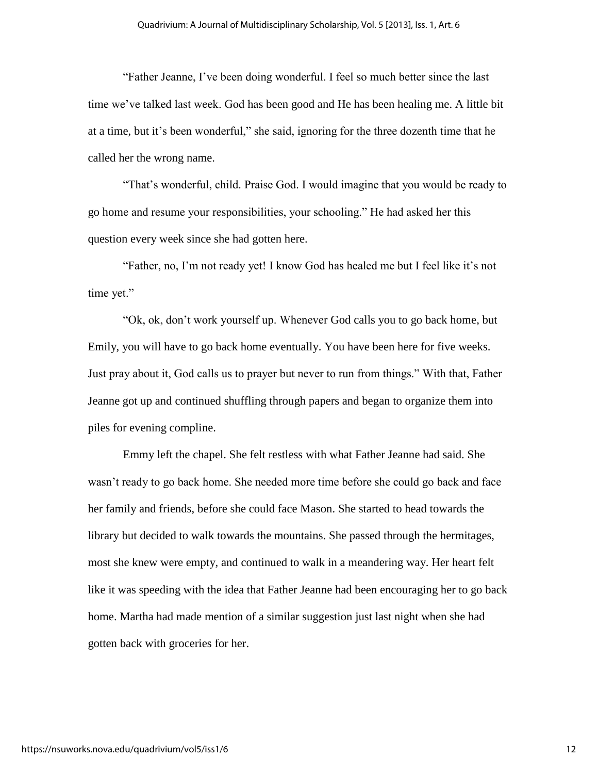"Father Jeanne, I've been doing wonderful. I feel so much better since the last time we've talked last week. God has been good and He has been healing me. A little bit at a time, but it's been wonderful," she said, ignoring for the three dozenth time that he called her the wrong name.

"That's wonderful, child. Praise God. I would imagine that you would be ready to go home and resume your responsibilities, your schooling." He had asked her this question every week since she had gotten here.

"Father, no, I'm not ready yet! I know God has healed me but I feel like it's not time yet."

"Ok, ok, don't work yourself up. Whenever God calls you to go back home, but Emily, you will have to go back home eventually. You have been here for five weeks. Just pray about it, God calls us to prayer but never to run from things." With that, Father Jeanne got up and continued shuffling through papers and began to organize them into piles for evening compline.

Emmy left the chapel. She felt restless with what Father Jeanne had said. She wasn't ready to go back home. She needed more time before she could go back and face her family and friends, before she could face Mason. She started to head towards the library but decided to walk towards the mountains. She passed through the hermitages, most she knew were empty, and continued to walk in a meandering way. Her heart felt like it was speeding with the idea that Father Jeanne had been encouraging her to go back home. Martha had made mention of a similar suggestion just last night when she had gotten back with groceries for her.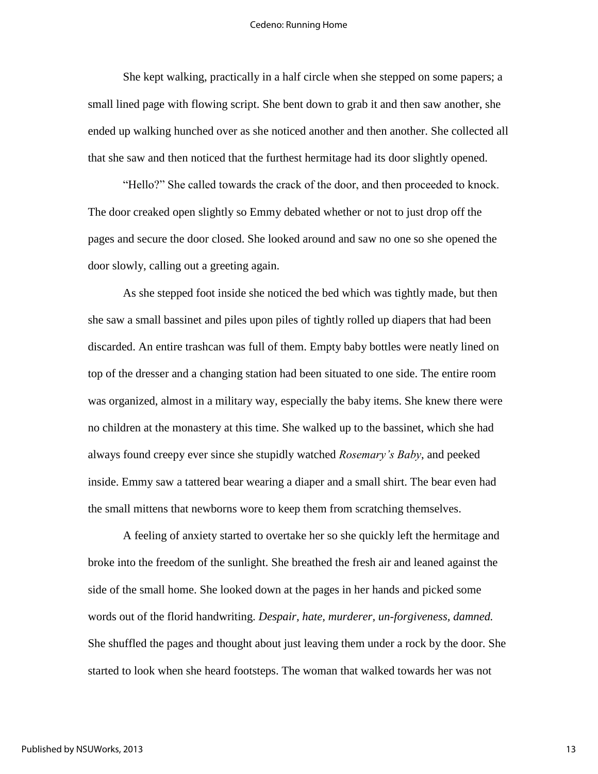She kept walking, practically in a half circle when she stepped on some papers; a small lined page with flowing script. She bent down to grab it and then saw another, she ended up walking hunched over as she noticed another and then another. She collected all that she saw and then noticed that the furthest hermitage had its door slightly opened.

"Hello?" She called towards the crack of the door, and then proceeded to knock. The door creaked open slightly so Emmy debated whether or not to just drop off the pages and secure the door closed. She looked around and saw no one so she opened the door slowly, calling out a greeting again.

As she stepped foot inside she noticed the bed which was tightly made, but then she saw a small bassinet and piles upon piles of tightly rolled up diapers that had been discarded. An entire trashcan was full of them. Empty baby bottles were neatly lined on top of the dresser and a changing station had been situated to one side. The entire room was organized, almost in a military way, especially the baby items. She knew there were no children at the monastery at this time. She walked up to the bassinet, which she had always found creepy ever since she stupidly watched *Rosemary's Baby*, and peeked inside. Emmy saw a tattered bear wearing a diaper and a small shirt. The bear even had the small mittens that newborns wore to keep them from scratching themselves.

A feeling of anxiety started to overtake her so she quickly left the hermitage and broke into the freedom of the sunlight. She breathed the fresh air and leaned against the side of the small home. She looked down at the pages in her hands and picked some words out of the florid handwriting. *Despair, hate, murderer, un-forgiveness, damned.*  She shuffled the pages and thought about just leaving them under a rock by the door. She started to look when she heard footsteps. The woman that walked towards her was not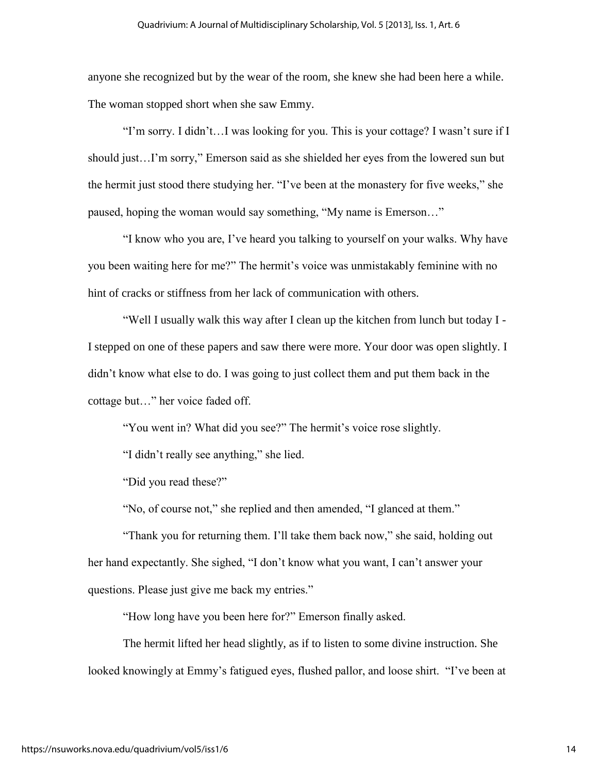anyone she recognized but by the wear of the room, she knew she had been here a while. The woman stopped short when she saw Emmy.

"I'm sorry. I didn't…I was looking for you. This is your cottage? I wasn't sure if I should just…I'm sorry," Emerson said as she shielded her eyes from the lowered sun but the hermit just stood there studying her. "I've been at the monastery for five weeks," she paused, hoping the woman would say something, "My name is Emerson…"

"I know who you are, I've heard you talking to yourself on your walks. Why have you been waiting here for me?" The hermit's voice was unmistakably feminine with no hint of cracks or stiffness from her lack of communication with others.

"Well I usually walk this way after I clean up the kitchen from lunch but today I - I stepped on one of these papers and saw there were more. Your door was open slightly. I didn't know what else to do. I was going to just collect them and put them back in the cottage but…" her voice faded off.

"You went in? What did you see?" The hermit's voice rose slightly.

"I didn't really see anything," she lied.

"Did you read these?"

"No, of course not," she replied and then amended, "I glanced at them."

"Thank you for returning them. I'll take them back now," she said, holding out her hand expectantly. She sighed, "I don't know what you want, I can't answer your questions. Please just give me back my entries."

"How long have you been here for?" Emerson finally asked.

The hermit lifted her head slightly, as if to listen to some divine instruction. She looked knowingly at Emmy's fatigued eyes, flushed pallor, and loose shirt. "I've been at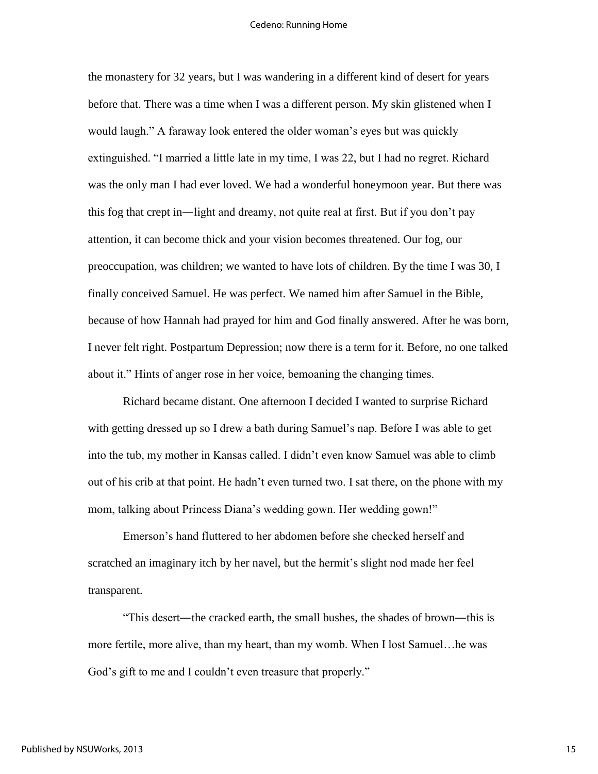the monastery for 32 years, but I was wandering in a different kind of desert for years before that. There was a time when I was a different person. My skin glistened when I would laugh." A faraway look entered the older woman's eyes but was quickly extinguished. "I married a little late in my time, I was 22, but I had no regret. Richard was the only man I had ever loved. We had a wonderful honeymoon year. But there was this fog that crept in—light and dreamy, not quite real at first. But if you don't pay attention, it can become thick and your vision becomes threatened. Our fog, our preoccupation, was children; we wanted to have lots of children. By the time I was 30, I finally conceived Samuel. He was perfect. We named him after Samuel in the Bible, because of how Hannah had prayed for him and God finally answered. After he was born, I never felt right. Postpartum Depression; now there is a term for it. Before, no one talked about it." Hints of anger rose in her voice, bemoaning the changing times.

Richard became distant. One afternoon I decided I wanted to surprise Richard with getting dressed up so I drew a bath during Samuel's nap. Before I was able to get into the tub, my mother in Kansas called. I didn't even know Samuel was able to climb out of his crib at that point. He hadn't even turned two. I sat there, on the phone with my mom, talking about Princess Diana's wedding gown. Her wedding gown!"

Emerson's hand fluttered to her abdomen before she checked herself and scratched an imaginary itch by her navel, but the hermit's slight nod made her feel transparent.

"This desert—the cracked earth, the small bushes, the shades of brown—this is more fertile, more alive, than my heart, than my womb. When I lost Samuel…he was God's gift to me and I couldn't even treasure that properly."